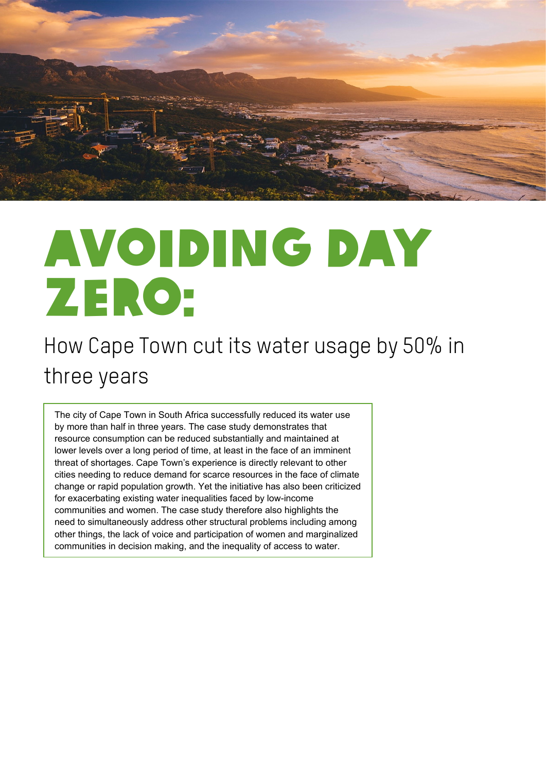

# Avoiding day zero:

# How Cape Town cut its water usage by 50% in three years

The city of Cape Town in South Africa successfully reduced its water use by more than half in three years. The case study demonstrates that resource consumption can be reduced substantially and maintained at lower levels over a long period of time, at least in the face of an imminent threat of shortages. Cape Town's experience is directly relevant to other cities needing to reduce demand for scarce resources in the face of climate change or rapid population growth. Yet the initiative has also been criticized for exacerbating existing water inequalities faced by low-income communities and women. The case study therefore also highlights the need to simultaneously address other structural problems including among other things, the lack of voice and participation of women and marginalized communities in decision making, and the inequality of access to water.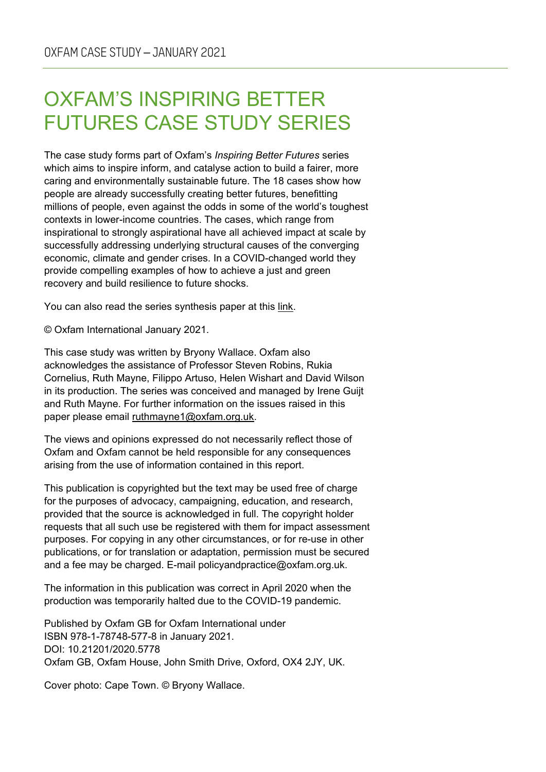### OXFAM'S INSPIRING BETTER FUTURES CASE STUDY SERIES

The case study forms part of Oxfam's *Inspiring Better Futures* series which aims to inspire inform, and catalyse action to build a fairer, more caring and environmentally sustainable future. The 18 cases show how people are already successfully creating better futures, benefitting millions of people, even against the odds in some of the world's toughest contexts in lower-income countries. The cases, which range from inspirational to strongly aspirational have all achieved impact at scale by successfully addressing underlying structural causes of the converging economic, climate and gender crises. In a COVID-changed world they provide compelling examples of how to achieve a just and green recovery and build resilience to future shocks.

You can also read the series synthesis paper [at this link.](https://oxfamilibrary.openrepository.com/handle/10546/621075)

© Oxfam International January 2021.

This case study was written by Bryony Wallace. Oxfam also acknowledges the assistance of Professor Steven Robins, Rukia Cornelius, Ruth Mayne, Filippo Artuso, Helen Wishart and David Wilson in its production. The series was conceived and managed by Irene Guijt and Ruth Mayne. For further information on the issues raised in this paper please email [ruthmayne1@oxfam.org.uk.](mailto:ruthmayne1@oxfam.org.uk)

The views and opinions expressed do not necessarily reflect those of Oxfam and Oxfam cannot be held responsible for any consequences arising from the use of information contained in this report.

This publication is copyrighted but the text may be used free of charge for the purposes of advocacy, campaigning, education, and research, provided that the source is acknowledged in full. The copyright holder requests that all such use be registered with them for impact assessment purposes. For copying in any other circumstances, or for re-use in other publications, or for translation or adaptation, permission must be secured and a fee may be charged. E-mail policyandpractice@oxfam.org.uk.

The information in this publication was correct in April 2020 when the production was temporarily halted due to the COVID-19 pandemic.

Published by Oxfam GB for Oxfam International under ISBN 978-1-78748-577-8 in January 2021. DOI: 10.21201/2020.5778 Oxfam GB, Oxfam House, John Smith Drive, Oxford, OX4 2JY, UK.

Cover photo: Cape Town. © Bryony Wallace.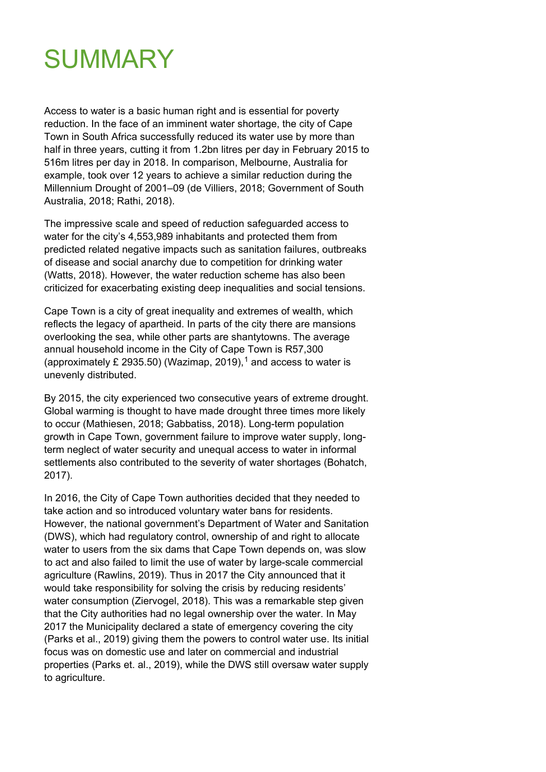

Access to water is a basic human right and is essential for poverty reduction. In the face of an imminent water shortage, the city of Cape Town in South Africa successfully reduced its water use by more than half in three years, cutting it from 1.2bn litres per day in February 2015 to 516m litres per day in 2018. In comparison, Melbourne, Australia for example, took over 12 years to achieve a similar reduction during the Millennium Drought of 2001–09 (de Villiers, 2018; Government of South Australia, 2018; Rathi, 2018).

The impressive scale and speed of reduction safeguarded access to water for the city's 4,553,989 inhabitants and protected them from predicted related negative impacts such as sanitation failures, outbreaks of disease and social anarchy due to competition for drinking water (Watts, 2018). However, the water reduction scheme has also been criticized for exacerbating existing deep inequalities and social tensions.

Cape Town is a city of great inequality and extremes of wealth, which reflects the legacy of apartheid. In parts of the city there are mansions overlooking the sea, while other parts are shantytowns. The average annual household income in the City of Cape Town is R57,300 (approximately £ 2935.50) (Wazimap, 20[1](#page-16-0)9),<sup>1</sup> and access to water is unevenly distributed.

By 2015, the city experienced two consecutive years of extreme drought. Global warming is thought to have made drought three times more likely to occur (Mathiesen, 2018; Gabbatiss, 2018). Long-term population growth in Cape Town, government failure to improve water supply, longterm neglect of water security and unequal access to water in informal settlements also contributed to the severity of water shortages (Bohatch, 2017).

In 2016, the City of Cape Town authorities decided that they needed to take action and so introduced voluntary water bans for residents. However, the national government's Department of Water and Sanitation (DWS), which had regulatory control, ownership of and right to allocate water to users from the six dams that Cape Town depends on, was slow to act and also failed to limit the use of water by large-scale commercial agriculture (Rawlins, 2019). Thus in 2017 the City announced that it would take responsibility for solving the crisis by reducing residents' water consumption (Ziervogel, 2018). This was a remarkable step given that the City authorities had no legal ownership over the water. In May 2017 the Municipality declared a state of emergency covering the city (Parks et al., 2019) giving them the powers to control water use. Its initial focus was on domestic use and later on commercial and industrial properties (Parks et. al., 2019), while the DWS still oversaw water supply to agriculture.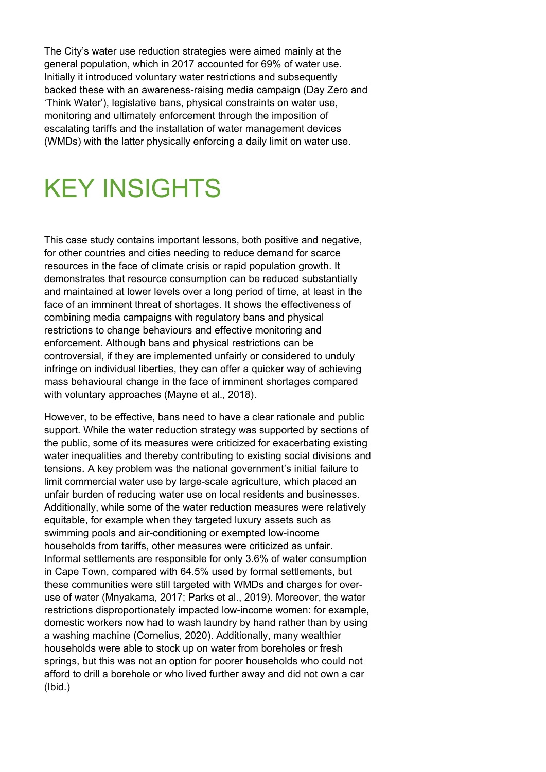The City's water use reduction strategies were aimed mainly at the general population, which in 2017 accounted for 69% of water use. Initially it introduced voluntary water restrictions and subsequently backed these with an awareness-raising media campaign (Day Zero and 'Think Water'), legislative bans, physical constraints on water use, monitoring and ultimately enforcement through the imposition of escalating tariffs and the installation of water management devices (WMDs) with the latter physically enforcing a daily limit on water use.

# KEY INSIGHTS

This case study contains important lessons, both positive and negative, for other countries and cities needing to reduce demand for scarce resources in the face of climate crisis or rapid population growth. It demonstrates that resource consumption can be reduced substantially and maintained at lower levels over a long period of time, at least in the face of an imminent threat of shortages. It shows the effectiveness of combining media campaigns with regulatory bans and physical restrictions to change behaviours and effective monitoring and enforcement. Although bans and physical restrictions can be controversial, if they are implemented unfairly or considered to unduly infringe on individual liberties, they can offer a quicker way of achieving mass behavioural change in the face of imminent shortages compared with voluntary approaches (Mayne et al., 2018).

However, to be effective, bans need to have a clear rationale and public support. While the water reduction strategy was supported by sections of the public, some of its measures were criticized for exacerbating existing water inequalities and thereby contributing to existing social divisions and tensions. A key problem was the national government's initial failure to limit commercial water use by large-scale agriculture, which placed an unfair burden of reducing water use on local residents and businesses. Additionally, while some of the water reduction measures were relatively equitable, for example when they targeted luxury assets such as swimming pools and air-conditioning or exempted low-income households from tariffs, other measures were criticized as unfair. Informal settlements are responsible for only 3.6% of water consumption in Cape Town, compared with 64.5% used by formal settlements, but these communities were still targeted with WMDs and charges for overuse of water (Mnyakama, 2017; Parks et al., 2019). Moreover, the water restrictions disproportionately impacted low-income women: for example, domestic workers now had to wash laundry by hand rather than by using a washing machine (Cornelius, 2020). Additionally, many wealthier households were able to stock up on water from boreholes or fresh springs, but this was not an option for poorer households who could not afford to drill a borehole or who lived further away and did not own a car (Ibid.)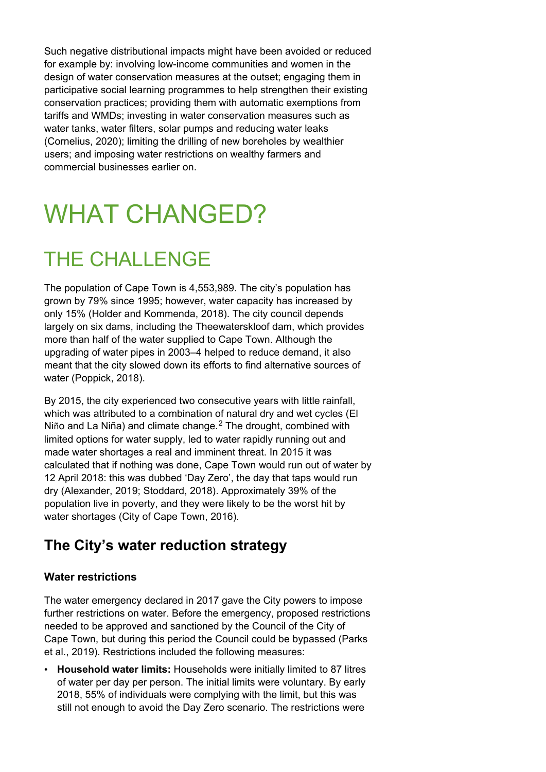Such negative distributional impacts might have been avoided or reduced for example by: involving low-income communities and women in the design of water conservation measures at the outset; engaging them in participative social learning programmes to help strengthen their existing conservation practices; providing them with automatic exemptions from tariffs and WMDs; investing in water conservation measures such as water tanks, water filters, solar pumps and reducing water leaks (Cornelius, 2020); limiting the drilling of new boreholes by wealthier users; and imposing water restrictions on wealthy farmers and commercial businesses earlier on.

# WHAT CHANGED?

# THE CHALLENGE

The population of Cape Town is 4,553,989. The city's population has grown by 79% since 1995; however, water capacity has increased by only 15% (Holder and Kommenda, 2018). The city council depends largely on six dams, including the Theewaterskloof dam, which provides more than half of the water supplied to Cape Town. Although the upgrading of water pipes in 2003–4 helped to reduce demand, it also meant that the city slowed down its efforts to find alternative sources of water (Poppick, 2018).

By 2015, the city experienced two consecutive years with little rainfall, which was attributed to a combination of natural dry and wet cycles (El Niño and La Niña) and climate change. [2](#page-16-1) The drought, combined with limited options for water supply, led to water rapidly running out and made water shortages a real and imminent threat. In 2015 it was calculated that if nothing was done, Cape Town would run out of water by 12 April 2018: this was dubbed 'Day Zero', the day that taps would run dry (Alexander, 2019; Stoddard, 2018). Approximately 39% of the population live in poverty, and they were likely to be the worst hit by water shortages (City of Cape Town, 2016).

#### **The City's water reduction strategy**

#### **Water restrictions**

The water emergency declared in 2017 gave the City powers to impose further restrictions on water. Before the emergency, proposed restrictions needed to be approved and sanctioned by the Council of the City of Cape Town, but during this period the Council could be bypassed (Parks et al., 2019). Restrictions included the following measures:

• **Household water limits:** Households were initially limited to 87 litres of water per day per person. The initial limits were voluntary. By early 2018, 55% of individuals were complying with the limit, but this was still not enough to avoid the Day Zero scenario. The restrictions were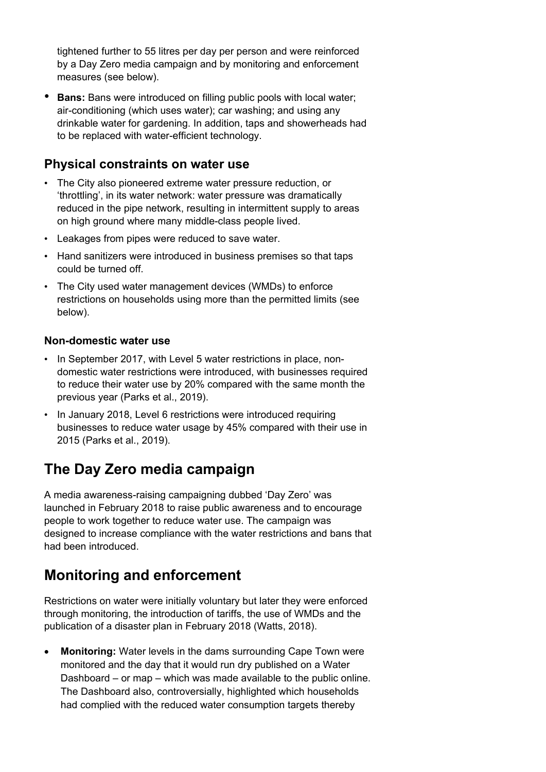tightened further to 55 litres per day per person and were reinforced by a Day Zero media campaign and by monitoring and enforcement measures (see below).

**Bans:** Bans were introduced on filling public pools with local water; air-conditioning (which uses water); car washing; and using any drinkable water for gardening. In addition, taps and showerheads had to be replaced with water-efficient technology.

#### **Physical constraints on water use**

- The City also pioneered extreme water pressure reduction, or 'throttling', in its water network: water pressure was dramatically reduced in the pipe network, resulting in intermittent supply to areas on high ground where many middle-class people lived.
- Leakages from pipes were reduced to save water.
- Hand sanitizers were introduced in business premises so that taps could be turned off.
- The City used water management devices (WMDs) to enforce restrictions on households using more than the permitted limits (see below).

#### **Non-domestic water use**

- In September 2017, with Level 5 water restrictions in place, nondomestic water restrictions were introduced, with businesses required to reduce their water use by 20% compared with the same month the previous year (Parks et al., 2019).
- In January 2018, Level 6 restrictions were introduced requiring businesses to reduce water usage by 45% compared with their use in 2015 (Parks et al., 2019).

#### **The Day Zero media campaign**

A media awareness-raising campaigning dubbed 'Day Zero' was launched in February 2018 to raise public awareness and to encourage people to work together to reduce water use. The campaign was designed to increase compliance with the water restrictions and bans that had been introduced.

#### **Monitoring and enforcement**

Restrictions on water were initially voluntary but later they were enforced through monitoring, the introduction of tariffs, the use of WMDs and the publication of a disaster plan in February 2018 (Watts, 2018).

• **Monitoring:** Water levels in the dams surrounding Cape Town were monitored and the day that it would run dry published on a Water Dashboard – or map – which was made available to the public online. The Dashboard also, controversially, highlighted which households had complied with the reduced water consumption targets thereby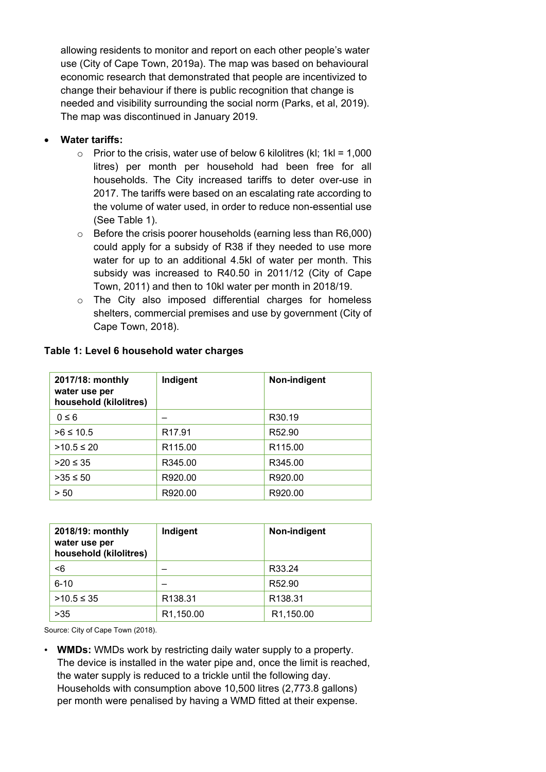allowing residents to monitor and report on each other people's water use (City of Cape Town, 2019a). The map was based on behavioural economic research that demonstrated that people are incentivized to change their behaviour if there is public recognition that change is needed and visibility surrounding the social norm (Parks, et al, 2019). The map was discontinued in January 2019.

#### • **Water tariffs:**

- $\circ$  Prior to the crisis, water use of below 6 kilolitres (kl; 1kl = 1,000 litres) per month per household had been free for all households. The City increased tariffs to deter over-use in 2017. The tariffs were based on an escalating rate according to the volume of water used, in order to reduce non-essential use (See Table 1).
- $\circ$  Before the crisis poorer households (earning less than R6,000) could apply for a subsidy of R38 if they needed to use more water for up to an additional 4.5kl of water per month. This subsidy was increased to R40.50 in 2011/12 (City of Cape Town, 2011) and then to 10kl water per month in 2018/19.
- o The City also imposed differential charges for homeless shelters, commercial premises and use by government (City of Cape Town, 2018).

| 2017/18: monthly<br>water use per<br>household (kilolitres) | Indigent            | Non-indigent        |
|-------------------------------------------------------------|---------------------|---------------------|
| $0 \leq 6$                                                  |                     | R <sub>30.19</sub>  |
| $>6 \le 10.5$                                               | R <sub>17.91</sub>  | R <sub>52.90</sub>  |
| $>10.5 \le 20$                                              | R <sub>115.00</sub> | R <sub>115.00</sub> |
| $>20 \le 35$                                                | R345.00             | R345.00             |
| $>35 \le 50$                                                | R920.00             | R920.00             |
| > 50                                                        | R920.00             | R920.00             |

#### **Table 1: Level 6 household water charges**

| 2018/19: monthly<br>water use per<br>household (kilolitres) | Indigent            | Non-indigent        |
|-------------------------------------------------------------|---------------------|---------------------|
| $6$                                                         |                     | R33.24              |
| $6 - 10$                                                    |                     | R52.90              |
| $>10.5$ ≤ 35                                                | R <sub>138.31</sub> | R <sub>138.31</sub> |
| >35                                                         | R1,150.00           | R1,150.00           |

Source: City of Cape Town (2018).

• **WMDs:** WMDs work by restricting daily water supply to a property. The device is installed in the water pipe and, once the limit is reached, the water supply is reduced to a trickle until the following day. Households with consumption above 10,500 litres (2,773.8 gallons) per month were penalised by having a WMD fitted at their expense.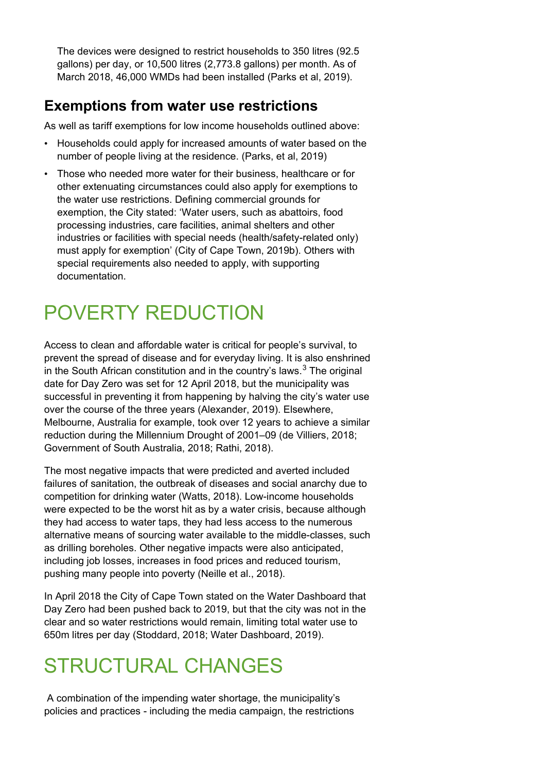The devices were designed to restrict households to 350 litres (92.5 gallons) per day, or 10,500 litres (2,773.8 gallons) per month. As of March 2018, 46,000 WMDs had been installed (Parks et al, 2019).

#### **Exemptions from water use restrictions**

As well as tariff exemptions for low income households outlined above:

- Households could apply for increased amounts of water based on the number of people living at the residence. (Parks, et al, 2019)
- Those who needed more water for their business, healthcare or for other extenuating circumstances could also apply for exemptions to the water use restrictions. Defining commercial grounds for exemption, the City stated: 'Water users, such as abattoirs, food processing industries, care facilities, animal shelters and other industries or facilities with special needs (health/safety-related only) must apply for exemption' (City of Cape Town, 2019b). Others with special requirements also needed to apply, with supporting documentation.

# POVERTY REDUCTION

Access to clean and affordable water is critical for people's survival, to prevent the spread of disease and for everyday living. It is also enshrined in the South African constitution and in the country's laws. $^3$  $^3$  The original date for Day Zero was set for 12 April 2018, but the municipality was successful in preventing it from happening by halving the city's water use over the course of the three years (Alexander, 2019). Elsewhere, Melbourne, Australia for example, took over 12 years to achieve a similar reduction during the Millennium Drought of 2001–09 (de Villiers, 2018; Government of South Australia, 2018; Rathi, 2018).

The most negative impacts that were predicted and averted included failures of sanitation, the outbreak of diseases and social anarchy due to competition for drinking water (Watts, 2018). Low-income households were expected to be the worst hit as by a water crisis, because although they had access to water taps, they had less access to the numerous alternative means of sourcing water available to the middle-classes, such as drilling boreholes. Other negative impacts were also anticipated, including job losses, increases in food prices and reduced tourism. pushing many people into poverty (Neille et al., 2018).

In April 2018 the City of Cape Town stated on the Water Dashboard that Day Zero had been pushed back to 2019, but that the city was not in the clear and so water restrictions would remain, limiting total water use to 650m litres per day (Stoddard, 2018; Water Dashboard, 2019).

# STRUCTURAL CHANGES

A combination of the impending water shortage, the municipality's policies and practices - including the media campaign, the restrictions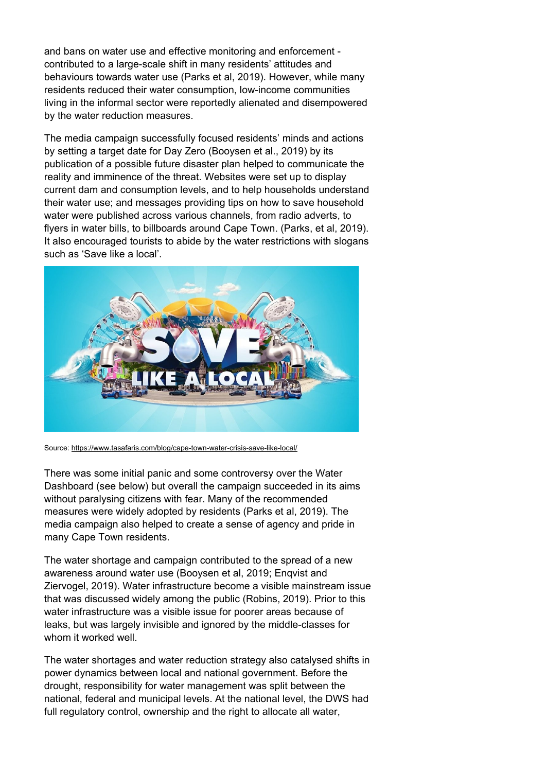and bans on water use and effective monitoring and enforcement contributed to a large-scale shift in many residents' attitudes and behaviours towards water use (Parks et al, 2019). However, while many residents reduced their water consumption, low-income communities living in the informal sector were reportedly alienated and disempowered by the water reduction measures.

The media campaign successfully focused residents' minds and actions by setting a target date for Day Zero (Booysen et al., 2019) by its publication of a possible future disaster plan helped to communicate the reality and imminence of the threat. Websites were set up to display current dam and consumption levels, and to help households understand their water use; and messages providing tips on how to save household water were published across various channels, from radio adverts, to flyers in water bills, to billboards around Cape Town. (Parks, et al, 2019). It also encouraged tourists to abide by the water restrictions with slogans such as 'Save like a local'.



Source:<https://www.tasafaris.com/blog/cape-town-water-crisis-save-like-local/>

There was some initial panic and some controversy over the Water Dashboard (see below) but overall the campaign succeeded in its aims without paralysing citizens with fear. Many of the recommended measures were widely adopted by residents (Parks et al, 2019). The media campaign also helped to create a sense of agency and pride in many Cape Town residents.

The water shortage and campaign contributed to the spread of a new awareness around water use (Booysen et al, 2019; Enqvist and Ziervogel, 2019). Water infrastructure become a visible mainstream issue that was discussed widely among the public (Robins, 2019). Prior to this water infrastructure was a visible issue for poorer areas because of leaks, but was largely invisible and ignored by the middle-classes for whom it worked well.

The water shortages and water reduction strategy also catalysed shifts in power dynamics between local and national government. Before the drought, responsibility for water management was split between the national, federal and municipal levels. At the national level, the DWS had full regulatory control, ownership and the right to allocate all water,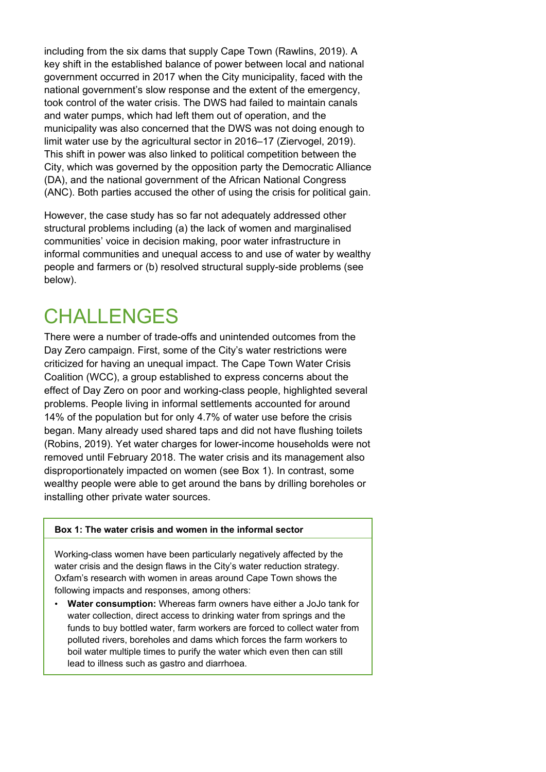including from the six dams that supply Cape Town (Rawlins, 2019). A key shift in the established balance of power between local and national government occurred in 2017 when the City municipality, faced with the national government's slow response and the extent of the emergency, took control of the water crisis. The DWS had failed to maintain canals and water pumps, which had left them out of operation, and the municipality was also concerned that the DWS was not doing enough to limit water use by the agricultural sector in 2016–17 (Ziervogel, 2019). This shift in power was also linked to political competition between the City, which was governed by the opposition party the Democratic Alliance (DA), and the national government of the African National Congress (ANC). Both parties accused the other of using the crisis for political gain.

However, the case study has so far not adequately addressed other structural problems including (a) the lack of women and marginalised communities' voice in decision making, poor water infrastructure in informal communities and unequal access to and use of water by wealthy people and farmers or (b) resolved structural supply-side problems (see below).

### **CHALLENGES**

There were a number of trade-offs and unintended outcomes from the Day Zero campaign. First, some of the City's water restrictions were criticized for having an unequal impact. The Cape Town Water Crisis Coalition (WCC), a group established to express concerns about the effect of Day Zero on poor and working-class people, highlighted several problems. People living in informal settlements accounted for around 14% of the population but for only 4.7% of water use before the crisis began. Many already used shared taps and did not have flushing toilets (Robins, 2019). Yet water charges for lower-income households were not removed until February 2018. The water crisis and its management also disproportionately impacted on women (see Box 1). In contrast, some wealthy people were able to get around the bans by drilling boreholes or installing other private water sources.

#### **Box 1: The water crisis and women in the informal sector**

Working-class women have been particularly negatively affected by the water crisis and the design flaws in the City's water reduction strategy. Oxfam's research with women in areas around Cape Town shows the following impacts and responses, among others:

• **Water consumption:** Whereas farm owners have either a JoJo tank for water collection, direct access to drinking water from springs and the funds to buy bottled water, farm workers are forced to collect water from polluted rivers, boreholes and dams which forces the farm workers to boil water multiple times to purify the water which even then can still lead to illness such as gastro and diarrhoea.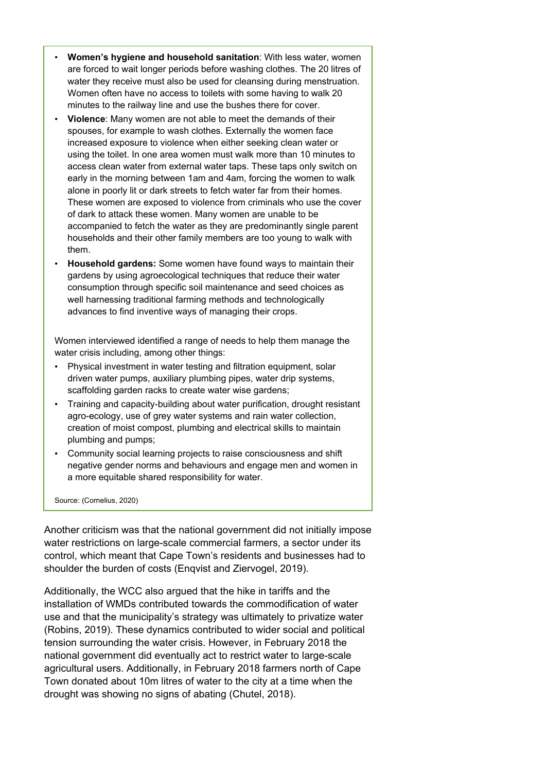- **Women's hygiene and household sanitation**: With less water, women are forced to wait longer periods before washing clothes. The 20 litres of water they receive must also be used for cleansing during menstruation. Women often have no access to toilets with some having to walk 20 minutes to the railway line and use the bushes there for cover.
- **Violence**: Many women are not able to meet the demands of their spouses, for example to wash clothes. Externally the women face increased exposure to violence when either seeking clean water or using the toilet. In one area women must walk more than 10 minutes to access clean water from external water taps. These taps only switch on early in the morning between 1am and 4am, forcing the women to walk alone in poorly lit or dark streets to fetch water far from their homes. These women are exposed to violence from criminals who use the cover of dark to attack these women. Many women are unable to be accompanied to fetch the water as they are predominantly single parent households and their other family members are too young to walk with them.
- **Household gardens:** Some women have found ways to maintain their gardens by using agroecological techniques that reduce their water consumption through specific soil maintenance and seed choices as well harnessing traditional farming methods and technologically advances to find inventive ways of managing their crops.

Women interviewed identified a range of needs to help them manage the water crisis including, among other things:

- Physical investment in water testing and filtration equipment, solar driven water pumps, auxiliary plumbing pipes, water drip systems, scaffolding garden racks to create water wise gardens;
- Training and capacity-building about water purification, drought resistant agro-ecology, use of grey water systems and rain water collection, creation of moist compost, plumbing and electrical skills to maintain plumbing and pumps;
- Community social learning projects to raise consciousness and shift negative gender norms and behaviours and engage men and women in a more equitable shared responsibility for water.

Source: (Cornelius, 2020)

Another criticism was that the national government did not initially impose water restrictions on large-scale commercial farmers, a sector under its control, which meant that Cape Town's residents and businesses had to shoulder the burden of costs (Enqvist and Ziervogel, 2019).

Additionally, the WCC also argued that the hike in tariffs and the installation of WMDs contributed towards the commodification of water use and that the municipality's strategy was ultimately to privatize water (Robins, 2019). These dynamics contributed to wider social and political tension surrounding the water crisis. However, in February 2018 the national government did eventually act to restrict water to large-scale agricultural users. Additionally, in February 2018 farmers north of Cape Town donated about 10m litres of water to the city at a time when the drought was showing no signs of abating (Chutel, 2018).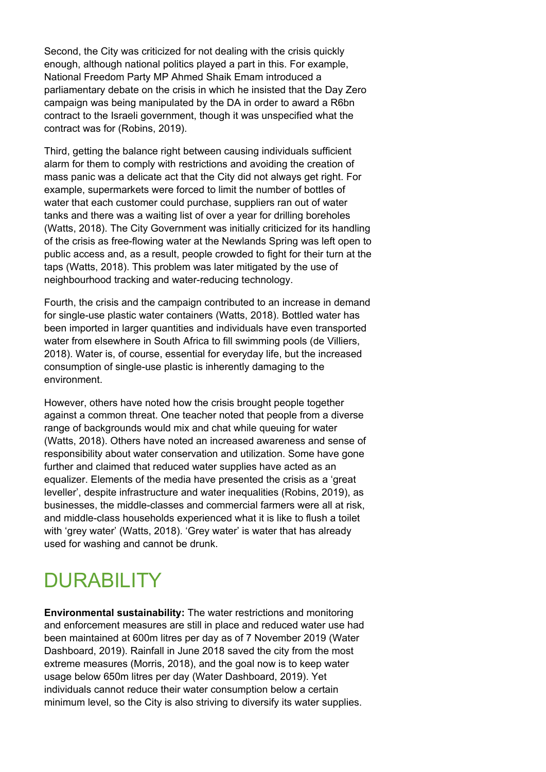Second, the City was criticized for not dealing with the crisis quickly enough, although national politics played a part in this. For example, National Freedom Party MP Ahmed Shaik Emam introduced a parliamentary debate on the crisis in which he insisted that the Day Zero campaign was being manipulated by the DA in order to award a R6bn contract to the Israeli government, though it was unspecified what the contract was for (Robins, 2019).

Third, getting the balance right between causing individuals sufficient alarm for them to comply with restrictions and avoiding the creation of mass panic was a delicate act that the City did not always get right. For example, supermarkets were forced to limit the number of bottles of water that each customer could purchase, suppliers ran out of water tanks and there was a waiting list of over a year for drilling boreholes (Watts, 2018). The City Government was initially criticized for its handling of the crisis as free-flowing water at the Newlands Spring was left open to public access and, as a result, people crowded to fight for their turn at the taps (Watts, 2018). This problem was later mitigated by the use of neighbourhood tracking and water-reducing technology.

Fourth, the crisis and the campaign contributed to an increase in demand for single-use plastic water containers (Watts, 2018). Bottled water has been imported in larger quantities and individuals have even transported water from elsewhere in South Africa to fill swimming pools (de Villiers, 2018). Water is, of course, essential for everyday life, but the increased consumption of single-use plastic is inherently damaging to the environment.

However, others have noted how the crisis brought people together against a common threat. One teacher noted that people from a diverse range of backgrounds would mix and chat while queuing for water (Watts, 2018). Others have noted an increased awareness and sense of responsibility about water conservation and utilization. Some have gone further and claimed that reduced water supplies have acted as an equalizer. Elements of the media have presented the crisis as a 'great leveller', despite infrastructure and water inequalities (Robins, 2019), as businesses, the middle-classes and commercial farmers were all at risk, and middle-class households experienced what it is like to flush a toilet with 'grey water' (Watts, 2018). 'Grey water' is water that has already used for washing and cannot be drunk.

# **DURABILITY**

**Environmental sustainability:** The water restrictions and monitoring and enforcement measures are still in place and reduced water use had been maintained at 600m litres per day as of 7 November 2019 (Water Dashboard, 2019). Rainfall in June 2018 saved the city from the most extreme measures (Morris, 2018), and the goal now is to keep water usage below 650m litres per day (Water Dashboard, 2019). Yet individuals cannot reduce their water consumption below a certain minimum level, so the City is also striving to diversify its water supplies.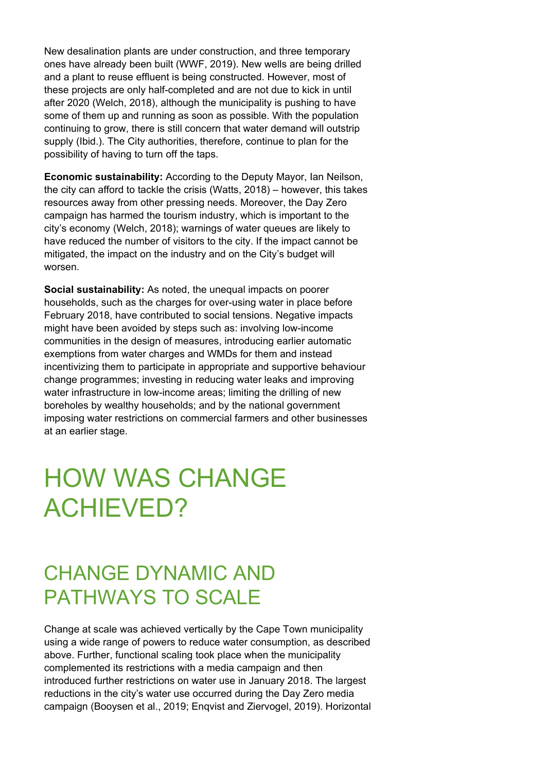New desalination plants are under construction, and three temporary ones have already been built (WWF, 2019). New wells are being drilled and a plant to reuse effluent is being constructed. However, most of these projects are only half-completed and are not due to kick in until after 2020 (Welch, 2018), although the municipality is pushing to have some of them up and running as soon as possible. With the population continuing to grow, there is still concern that water demand will outstrip supply (Ibid.). The City authorities, therefore, continue to plan for the possibility of having to turn off the taps.

**Economic sustainability:** According to the Deputy Mayor, Ian Neilson, the city can afford to tackle the crisis (Watts, 2018) – however, this takes resources away from other pressing needs. Moreover, the Day Zero campaign has harmed the tourism industry, which is important to the city's economy (Welch, 2018); warnings of water queues are likely to have reduced the number of visitors to the city. If the impact cannot be mitigated, the impact on the industry and on the City's budget will worsen.

**Social sustainability:** As noted, the unequal impacts on poorer households, such as the charges for over-using water in place before February 2018, have contributed to social tensions. Negative impacts might have been avoided by steps such as: involving low-income communities in the design of measures, introducing earlier automatic exemptions from water charges and WMDs for them and instead incentivizing them to participate in appropriate and supportive behaviour change programmes; investing in reducing water leaks and improving water infrastructure in low-income areas; limiting the drilling of new boreholes by wealthy households; and by the national government imposing water restrictions on commercial farmers and other businesses at an earlier stage.

# HOW WAS CHANGE ACHIEVED?

### CHANGE DYNAMIC AND PATHWAYS TO SCALE

Change at scale was achieved vertically by the Cape Town municipality using a wide range of powers to reduce water consumption, as described above. Further, functional scaling took place when the municipality complemented its restrictions with a media campaign and then introduced further restrictions on water use in January 2018. The largest reductions in the city's water use occurred during the Day Zero media campaign (Booysen et al., 2019; Enqvist and Ziervogel, 2019). Horizontal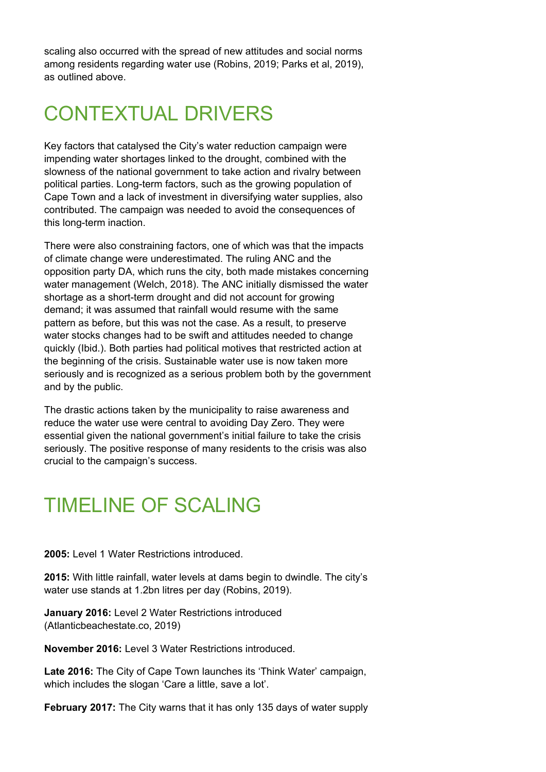scaling also occurred with the spread of new attitudes and social norms among residents regarding water use (Robins, 2019; Parks et al, 2019), as outlined above.

## CONTEXTUAL DRIVERS

Key factors that catalysed the City's water reduction campaign were impending water shortages linked to the drought, combined with the slowness of the national government to take action and rivalry between political parties. Long-term factors, such as the growing population of Cape Town and a lack of investment in diversifying water supplies, also contributed. The campaign was needed to avoid the consequences of this long-term inaction.

There were also constraining factors, one of which was that the impacts of climate change were underestimated. The ruling ANC and the opposition party DA, which runs the city, both made mistakes concerning water management (Welch, 2018). The ANC initially dismissed the water shortage as a short-term drought and did not account for growing demand; it was assumed that rainfall would resume with the same pattern as before, but this was not the case. As a result, to preserve water stocks changes had to be swift and attitudes needed to change quickly (Ibid.). Both parties had political motives that restricted action at the beginning of the crisis. Sustainable water use is now taken more seriously and is recognized as a serious problem both by the government and by the public.

The drastic actions taken by the municipality to raise awareness and reduce the water use were central to avoiding Day Zero. They were essential given the national government's initial failure to take the crisis seriously. The positive response of many residents to the crisis was also crucial to the campaign's success.

### TIMELINE OF SCALING

**2005:** Level 1 Water Restrictions introduced.

**2015:** With little rainfall, water levels at dams begin to dwindle. The city's water use stands at 1.2bn litres per day (Robins, 2019).

**January 2016:** Level 2 Water Restrictions introduced (Atlanticbeachestate.co, 2019)

**November 2016:** Level 3 Water Restrictions introduced.

**Late 2016:** The City of Cape Town launches its 'Think Water' campaign, which includes the slogan 'Care a little, save a lot'.

**February 2017:** The City warns that it has only 135 days of water supply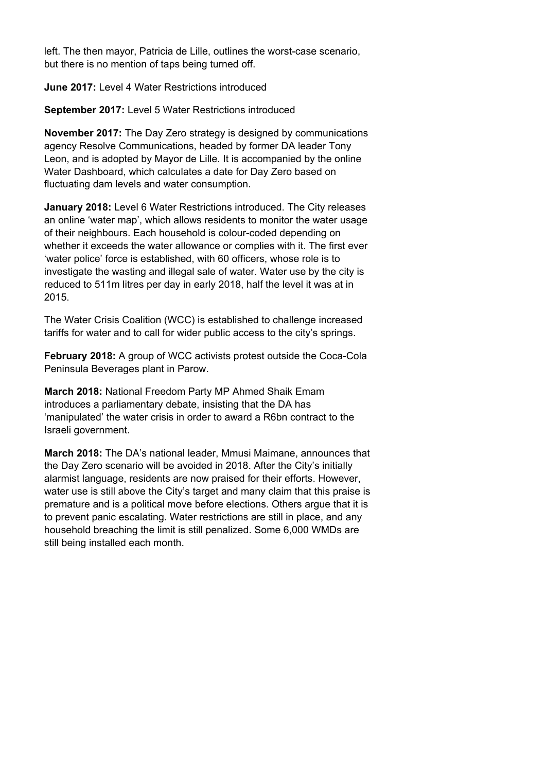left. The then mayor, Patricia de Lille, outlines the worst-case scenario, but there is no mention of taps being turned off.

**June 2017:** Level 4 Water Restrictions introduced

**September 2017:** Level 5 Water Restrictions introduced

**November 2017:** The Day Zero strategy is designed by communications agency Resolve Communications, headed by former DA leader Tony Leon, and is adopted by Mayor de Lille. It is accompanied by the online Water Dashboard, which calculates a date for Day Zero based on fluctuating dam levels and water consumption.

**January 2018:** Level 6 Water Restrictions introduced. The City releases an online 'water map', which allows residents to monitor the water usage of their neighbours. Each household is colour-coded depending on whether it exceeds the water allowance or complies with it. The first ever 'water police' force is established, with 60 officers, whose role is to investigate the wasting and illegal sale of water. Water use by the city is reduced to 511m litres per day in early 2018, half the level it was at in 2015.

The Water Crisis Coalition (WCC) is established to challenge increased tariffs for water and to call for wider public access to the city's springs.

**February 2018:** A group of WCC activists protest outside the Coca-Cola Peninsula Beverages plant in Parow.

**March 2018:** National Freedom Party MP Ahmed Shaik Emam introduces a parliamentary debate, insisting that the DA has 'manipulated' the water crisis in order to award a R6bn contract to the Israeli government.

**March 2018:** The DA's national leader, Mmusi Maimane, announces that the Day Zero scenario will be avoided in 2018. After the City's initially alarmist language, residents are now praised for their efforts. However, water use is still above the City's target and many claim that this praise is premature and is a political move before elections. Others argue that it is to prevent panic escalating. Water restrictions are still in place, and any household breaching the limit is still penalized. Some 6,000 WMDs are still being installed each month.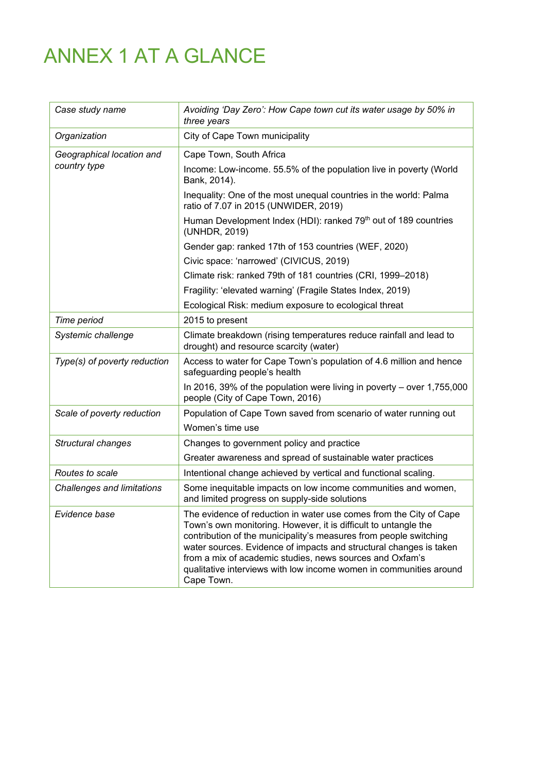# ANNEX 1 AT A GLANCE

| Case study name                           | Avoiding 'Day Zero': How Cape town cut its water usage by 50% in<br>three years                                                                                                                                                                                                                                                                                                                                                  |
|-------------------------------------------|----------------------------------------------------------------------------------------------------------------------------------------------------------------------------------------------------------------------------------------------------------------------------------------------------------------------------------------------------------------------------------------------------------------------------------|
| Organization                              | City of Cape Town municipality                                                                                                                                                                                                                                                                                                                                                                                                   |
| Geographical location and<br>country type | Cape Town, South Africa                                                                                                                                                                                                                                                                                                                                                                                                          |
|                                           | Income: Low-income. 55.5% of the population live in poverty (World<br>Bank, 2014).                                                                                                                                                                                                                                                                                                                                               |
|                                           | Inequality: One of the most unequal countries in the world: Palma<br>ratio of 7.07 in 2015 (UNWIDER, 2019)                                                                                                                                                                                                                                                                                                                       |
|                                           | Human Development Index (HDI): ranked 79 <sup>th</sup> out of 189 countries<br>(UNHDR, 2019)                                                                                                                                                                                                                                                                                                                                     |
|                                           | Gender gap: ranked 17th of 153 countries (WEF, 2020)                                                                                                                                                                                                                                                                                                                                                                             |
|                                           | Civic space: 'narrowed' (CIVICUS, 2019)                                                                                                                                                                                                                                                                                                                                                                                          |
|                                           | Climate risk: ranked 79th of 181 countries (CRI, 1999-2018)                                                                                                                                                                                                                                                                                                                                                                      |
|                                           | Fragility: 'elevated warning' (Fragile States Index, 2019)                                                                                                                                                                                                                                                                                                                                                                       |
|                                           | Ecological Risk: medium exposure to ecological threat                                                                                                                                                                                                                                                                                                                                                                            |
| Time period                               | 2015 to present                                                                                                                                                                                                                                                                                                                                                                                                                  |
| Systemic challenge                        | Climate breakdown (rising temperatures reduce rainfall and lead to<br>drought) and resource scarcity (water)                                                                                                                                                                                                                                                                                                                     |
| Type(s) of poverty reduction              | Access to water for Cape Town's population of 4.6 million and hence<br>safeguarding people's health                                                                                                                                                                                                                                                                                                                              |
|                                           | In 2016, 39% of the population were living in poverty – over 1,755,000<br>people (City of Cape Town, 2016)                                                                                                                                                                                                                                                                                                                       |
| Scale of poverty reduction                | Population of Cape Town saved from scenario of water running out                                                                                                                                                                                                                                                                                                                                                                 |
|                                           | Women's time use                                                                                                                                                                                                                                                                                                                                                                                                                 |
| Structural changes                        | Changes to government policy and practice                                                                                                                                                                                                                                                                                                                                                                                        |
|                                           | Greater awareness and spread of sustainable water practices                                                                                                                                                                                                                                                                                                                                                                      |
| Routes to scale                           | Intentional change achieved by vertical and functional scaling.                                                                                                                                                                                                                                                                                                                                                                  |
| Challenges and limitations                | Some inequitable impacts on low income communities and women,<br>and limited progress on supply-side solutions                                                                                                                                                                                                                                                                                                                   |
| Evidence base                             | The evidence of reduction in water use comes from the City of Cape<br>Town's own monitoring. However, it is difficult to untangle the<br>contribution of the municipality's measures from people switching<br>water sources. Evidence of impacts and structural changes is taken<br>from a mix of academic studies, news sources and Oxfam's<br>qualitative interviews with low income women in communities around<br>Cape Town. |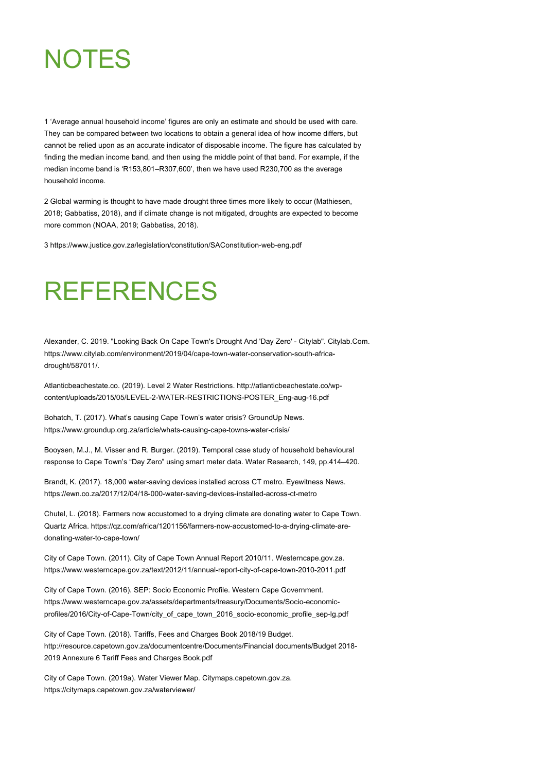

<span id="page-16-0"></span>1 'Average annual household income' figures are only an estimate and should be used with care. They can be compared between two locations to obtain a general idea of how income differs, but cannot be relied upon as an accurate indicator of disposable income. The figure has calculated by finding the median income band, and then using the middle point of that band. For example, if the median income band is 'R153,801–R307,600', then we have used R230,700 as the average household income.

<span id="page-16-1"></span>2 Global warming is thought to have made drought three times more likely to occur (Mathiesen, 2018; Gabbatiss, 2018), and if climate change is not mitigated, droughts are expected to become more common (NOAA, 2019; Gabbatiss, 2018).

3<https://www.justice.gov.za/legislation/constitution/SAConstitution-web-eng.pdf>

# REFERENCES

Alexander, C. 2019. "Looking Back On Cape Town's Drought And 'Day Zero' - Citylab". Citylab.Com. https://www.citylab.com/environment/2019/04/cape-town-water-conservation-south-africadrought/587011/.

Atlanticbeachestate.co. (2019). Level 2 Water Restrictions[. http://atlanticbeachestate.co/wp](http://atlanticbeachestate.co/wp-content/uploads/2015/05/LEVEL-2-WATER-RESTRICTIONS-POSTER_Eng-aug-16.pdf)[content/uploads/2015/05/LEVEL-2-WATER-RESTRICTIONS-POSTER\\_Eng-aug-16.pdf](http://atlanticbeachestate.co/wp-content/uploads/2015/05/LEVEL-2-WATER-RESTRICTIONS-POSTER_Eng-aug-16.pdf)

Bohatch, T. (2017). What's causing Cape Town's water crisis? GroundUp News. <https://www.groundup.org.za/article/whats-causing-cape-towns-water-crisis/>

Booysen, M.J., M. Visser and R. Burger. (2019). Temporal case study of household behavioural response to Cape Town's "Day Zero" using smart meter data. Water Research, 149, pp.414–420.

Brandt, K. (2017). 18,000 water-saving devices installed across CT metro. Eyewitness News. <https://ewn.co.za/2017/12/04/18-000-water-saving-devices-installed-across-ct-metro>

Chutel, L. (2018). Farmers now accustomed to a drying climate are donating water to Cape Town. Quartz Africa[. https://qz.com/africa/1201156/farmers-now-accustomed-to-a-drying-climate-are](https://qz.com/africa/1201156/farmers-now-accustomed-to-a-drying-climate-are-donating-water-to-cape-town/)[donating-water-to-cape-town/](https://qz.com/africa/1201156/farmers-now-accustomed-to-a-drying-climate-are-donating-water-to-cape-town/)

City of Cape Town. (2011). City of Cape Town Annual Report 2010/11. Westerncape.gov.za. <https://www.westerncape.gov.za/text/2012/11/annual-report-city-of-cape-town-2010-2011.pdf>

City of Cape Town. (2016). SEP: Socio Economic Profile. Western Cape Government. [https://www.westerncape.gov.za/assets/departments/treasury/Documents/Socio-economic](https://www.westerncape.gov.za/assets/departments/treasury/Documents/Socio-economic-profiles/2016/City-of-Cape-Town/city_of_cape_town_2016_socio-economic_profile_sep-lg.pdf)[profiles/2016/City-of-Cape-Town/city\\_of\\_cape\\_town\\_2016\\_socio-economic\\_profile\\_sep-lg.pdf](https://www.westerncape.gov.za/assets/departments/treasury/Documents/Socio-economic-profiles/2016/City-of-Cape-Town/city_of_cape_town_2016_socio-economic_profile_sep-lg.pdf)

City of Cape Town. (2018). Tariffs, Fees and Charges Book 2018/19 Budget. [http://resource.capetown.gov.za/documentcentre/Documents/Financial documents/Budget 2018-](http://resource.capetown.gov.za/documentcentre/Documents/Financial%20documents/Budget%202018-2019%20Annexure%206%20Tariff%20Fees%20and%20Charges%20Book.pdf) [2019 Annexure 6 Tariff Fees and Charges Book.pdf](http://resource.capetown.gov.za/documentcentre/Documents/Financial%20documents/Budget%202018-2019%20Annexure%206%20Tariff%20Fees%20and%20Charges%20Book.pdf)

<span id="page-16-2"></span>City of Cape Town. (2019a). Water Viewer Map. Citymaps.capetown.gov.za. <https://citymaps.capetown.gov.za/waterviewer/>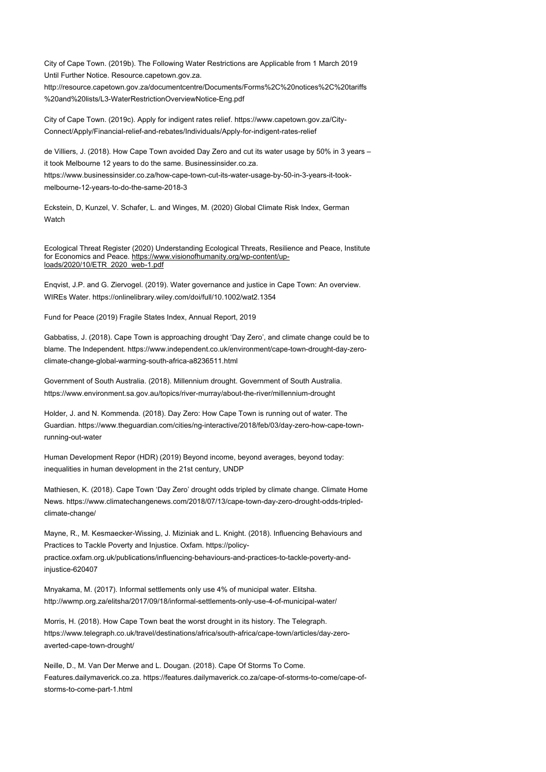City of Cape Town. (2019b). The Following Water Restrictions are Applicable from 1 March 2019 Until Further Notice. Resource.capetown.gov.za.

[http://resource.capetown.gov.za/documentcentre/Documents/Forms%2C%20notices%2C%20tariffs](http://resource.capetown.gov.za/documentcentre/Documents/Forms%2C%20notices%2C%20tariffs%20and%20lists/L3-WaterRestrictionOverviewNotice-Eng.pdf) [%20and%20lists/L3-WaterRestrictionOverviewNotice-Eng.pdf](http://resource.capetown.gov.za/documentcentre/Documents/Forms%2C%20notices%2C%20tariffs%20and%20lists/L3-WaterRestrictionOverviewNotice-Eng.pdf)

City of Cape Town. (2019c). Apply for indigent rates relief. [https://www.capetown.gov.za/City-](https://www.capetown.gov.za/City-Connect/Apply/Financial-relief-and-rebates/Individuals/Apply-for-indigent-rates-relief)[Connect/Apply/Financial-relief-and-rebates/Individuals/Apply-for-indigent-rates-relief](https://www.capetown.gov.za/City-Connect/Apply/Financial-relief-and-rebates/Individuals/Apply-for-indigent-rates-relief)

de Villiers, J. (2018). How Cape Town avoided Day Zero and cut its water usage by 50% in 3 years – it took Melbourne 12 years to do the same. Businessinsider.co.za. [https://www.businessinsider.co.za/how-cape-town-cut-its-water-usage-by-50-in-3-years-it-took](https://www.businessinsider.co.za/how-cape-town-cut-its-water-usage-by-50-in-3-years-it-took-melbourne-12-years-to-do-the-same-2018-3)[melbourne-12-years-to-do-the-same-2018-3](https://www.businessinsider.co.za/how-cape-town-cut-its-water-usage-by-50-in-3-years-it-took-melbourne-12-years-to-do-the-same-2018-3)

Eckstein, D, Kunzel, V. Schafer, L. and Winges, M. (2020) Global Climate Risk Index, German **Watch** 

Ecological Threat Register (2020) Understanding Ecological Threats, Resilience and Peace, Institute for Economics and Peace. [https://www.visionofhumanity.org/wp-content/up](https://www.visionofhumanity.org/wp-content/uploads/2020/10/ETR_2020_web-1.pdf)[loads/2020/10/ETR\\_2020\\_web-1.pdf](https://www.visionofhumanity.org/wp-content/uploads/2020/10/ETR_2020_web-1.pdf)

Enqvist, J.P. and G. Ziervogel. (2019). Water governance and justice in Cape Town: An overview. WIREs Water.<https://onlinelibrary.wiley.com/doi/full/10.1002/wat2.1354>

Fund for Peace (2019) Fragile States Index, Annual Report, 2019

Gabbatiss, J. (2018). Cape Town is approaching drought 'Day Zero', and climate change could be to blame. The Independent[. https://www.independent.co.uk/environment/cape-town-drought-day-zero](https://www.independent.co.uk/environment/cape-town-drought-day-zero-climate-change-global-warming-south-africa-a8236511.html)[climate-change-global-warming-south-africa-a8236511.html](https://www.independent.co.uk/environment/cape-town-drought-day-zero-climate-change-global-warming-south-africa-a8236511.html)

Government of South Australia. (2018). Millennium drought. Government of South Australia. <https://www.environment.sa.gov.au/topics/river-murray/about-the-river/millennium-drought>

Holder, J. and N. Kommenda. (2018). Day Zero: How Cape Town is running out of water. The Guardian[. https://www.theguardian.com/cities/ng-interactive/2018/feb/03/day-zero-how-cape-town](https://www.theguardian.com/cities/ng-interactive/2018/feb/03/day-zero-how-cape-town-running-out-water)[running-out-water](https://www.theguardian.com/cities/ng-interactive/2018/feb/03/day-zero-how-cape-town-running-out-water)

Human Development Repor (HDR) (2019) Beyond income, beyond averages, beyond today: inequalities in human development in the 21st century, UNDP

Mathiesen, K. (2018). Cape Town 'Day Zero' drought odds tripled by climate change. Climate Home News[. https://www.climatechangenews.com/2018/07/13/cape-town-day-zero-drought-odds-tripled](https://www.climatechangenews.com/2018/07/13/cape-town-day-zero-drought-odds-tripled-climate-change/)[climate-change/](https://www.climatechangenews.com/2018/07/13/cape-town-day-zero-drought-odds-tripled-climate-change/)

Mayne, R., M. Kesmaecker-Wissing, J. Miziniak and L. Knight. (2018). Influencing Behaviours and Practices to Tackle Poverty and Injustice. Oxfam[. https://policy](https://policy-practice.oxfam.org.uk/publications/influencing-behaviours-and-practices-to-tackle-poverty-and-injustice-620407)[practice.oxfam.org.uk/publications/influencing-behaviours-and-practices-to-tackle-poverty-and](https://policy-practice.oxfam.org.uk/publications/influencing-behaviours-and-practices-to-tackle-poverty-and-injustice-620407)[injustice-620407](https://policy-practice.oxfam.org.uk/publications/influencing-behaviours-and-practices-to-tackle-poverty-and-injustice-620407)

Mnyakama, M. (2017). Informal settlements only use 4% of municipal water. Elitsha. <http://wwmp.org.za/elitsha/2017/09/18/informal-settlements-only-use-4-of-municipal-water/>

Morris, H. (2018). How Cape Town beat the worst drought in its history. The Telegraph. [https://www.telegraph.co.uk/travel/destinations/africa/south-africa/cape-town/articles/day-zero](https://www.telegraph.co.uk/travel/destinations/africa/south-africa/cape-town/articles/day-zero-averted-cape-town-drought/)[averted-cape-town-drought/](https://www.telegraph.co.uk/travel/destinations/africa/south-africa/cape-town/articles/day-zero-averted-cape-town-drought/)

Neille, D., M. Van Der Merwe and L. Dougan. (2018). Cape Of Storms To Come. Features.dailymaverick.co.za[. https://features.dailymaverick.co.za/cape-of-storms-to-come/cape-of](https://features.dailymaverick.co.za/cape-of-storms-to-come/cape-of-storms-to-come-part-1.html)[storms-to-come-part-1.html](https://features.dailymaverick.co.za/cape-of-storms-to-come/cape-of-storms-to-come-part-1.html)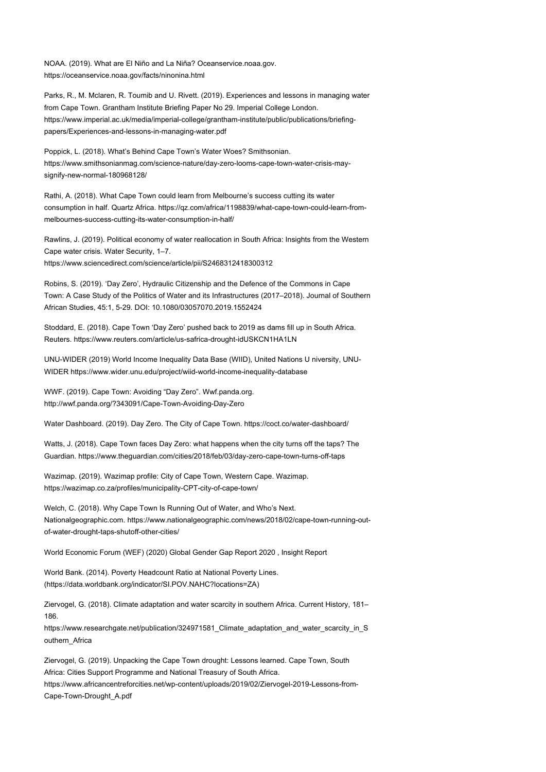NOAA. (2019). What are El Niño and La Niña? Oceanservice.noaa.gov. <https://oceanservice.noaa.gov/facts/ninonina.html>

Parks, R., M. Mclaren, R. Toumib and U. Rivett. (2019). Experiences and lessons in managing water from Cape Town. Grantham Institute Briefing Paper No 29. Imperial College London. [https://www.imperial.ac.uk/media/imperial-college/grantham-institute/public/publications/briefing](https://www.imperial.ac.uk/media/imperial-college/grantham-institute/public/publications/briefing-papers/Experiences-and-lessons-in-managing-water.pdf)[papers/Experiences-and-lessons-in-managing-water.pdf](https://www.imperial.ac.uk/media/imperial-college/grantham-institute/public/publications/briefing-papers/Experiences-and-lessons-in-managing-water.pdf)

Poppick, L. (2018). What's Behind Cape Town's Water Woes? Smithsonian. [https://www.smithsonianmag.com/science-nature/day-zero-looms-cape-town-water-crisis-may](https://www.smithsonianmag.com/science-nature/day-zero-looms-cape-town-water-crisis-may-signify-new-normal-180968128/)[signify-new-normal-180968128/](https://www.smithsonianmag.com/science-nature/day-zero-looms-cape-town-water-crisis-may-signify-new-normal-180968128/)

Rathi, A. (2018). What Cape Town could learn from Melbourne's success cutting its water consumption in half. Quartz Africa[. https://qz.com/africa/1198839/what-cape-town-could-learn-from](https://qz.com/africa/1198839/what-cape-town-could-learn-from-melbournes-success-cutting-its-water-consumption-in-half/)[melbournes-success-cutting-its-water-consumption-in-half/](https://qz.com/africa/1198839/what-cape-town-could-learn-from-melbournes-success-cutting-its-water-consumption-in-half/)

Rawlins, J. (2019). Political economy of water reallocation in South Africa: Insights from the Western Cape water crisis. Water Security, 1–7. <https://www.sciencedirect.com/science/article/pii/S2468312418300312>

Robins, S. (2019). 'Day Zero', Hydraulic Citizenship and the Defence of the Commons in Cape Town: A Case Study of the Politics of Water and its Infrastructures (2017–2018). Journal of Southern African Studies, 45:1, 5-29. DOI: 10.1080/03057070.2019.1552424

Stoddard, E. (2018). Cape Town 'Day Zero' pushed back to 2019 as dams fill up in South Africa. Reuters[. https://www.reuters.com/article/us-safrica-drought-idUSKCN1HA1LN](https://www.reuters.com/article/us-safrica-drought-idUSKCN1HA1LN)

UNU-WIDER (2019) World Income Inequality Data Base (WIID), United Nations U niversity, UNU-WIDER <https://www.wider.unu.edu/project/wiid-world-income-inequality-database>

WWF. (2019). Cape Town: Avoiding "Day Zero". Wwf.panda.org. <http://wwf.panda.org/?343091/Cape-Town-Avoiding-Day-Zero>

Water Dashboard. (2019). Day Zero. The City of Cape Town[. https://coct.co/water-dashboard/](https://coct.co/water-dashboard/)

Watts, J. (2018). Cape Town faces Day Zero: what happens when the city turns off the taps? The Guardian[. https://www.theguardian.com/cities/2018/feb/03/day-zero-cape-town-turns-off-taps](https://www.theguardian.com/cities/2018/feb/03/day-zero-cape-town-turns-off-taps)

Wazimap. (2019). Wazimap profile: City of Cape Town, Western Cape. Wazimap. <https://wazimap.co.za/profiles/municipality-CPT-city-of-cape-town/>

Welch, C. (2018). Why Cape Town Is Running Out of Water, and Who's Next. Nationalgeographic.com. [https://www.nationalgeographic.com/news/2018/02/cape-town-running-out](https://www.nationalgeographic.com/news/2018/02/cape-town-running-out-of-water-drought-taps-shutoff-other-cities/)[of-water-drought-taps-shutoff-other-cities/](https://www.nationalgeographic.com/news/2018/02/cape-town-running-out-of-water-drought-taps-shutoff-other-cities/)

World Economic Forum (WEF) (2020) Global Gender Gap Report 2020 , Insight Report

World Bank. (2014). Poverty Headcount Ratio at National Poverty Lines. [\(https://data.worldbank.org/indicator/SI.POV.NAHC?locations=ZA\)](https://data.worldbank.org/indicator/SI.POV.NAHC?locations=ZA)

Ziervogel, G. (2018). Climate adaptation and water scarcity in southern Africa. Current History, 181– 186.

[https://www.researchgate.net/publication/324971581\\_Climate\\_adaptation\\_and\\_water\\_scarcity\\_in\\_S](https://www.researchgate.net/publication/324971581_Climate_adaptation_and_water_scarcity_in_Southern_Africa) outhern Africa

Ziervogel, G. (2019). Unpacking the Cape Town drought: Lessons learned. Cape Town, South Africa: Cities Support Programme and National Treasury of South Africa. [https://www.africancentreforcities.net/wp-content/uploads/2019/02/Ziervogel-2019-Lessons-from-](https://www.africancentreforcities.net/wp-content/uploads/2019/02/Ziervogel-2019-Lessons-from-Cape-Town-Drought_A.pdf)[Cape-Town-Drought\\_A.pdf](https://www.africancentreforcities.net/wp-content/uploads/2019/02/Ziervogel-2019-Lessons-from-Cape-Town-Drought_A.pdf)